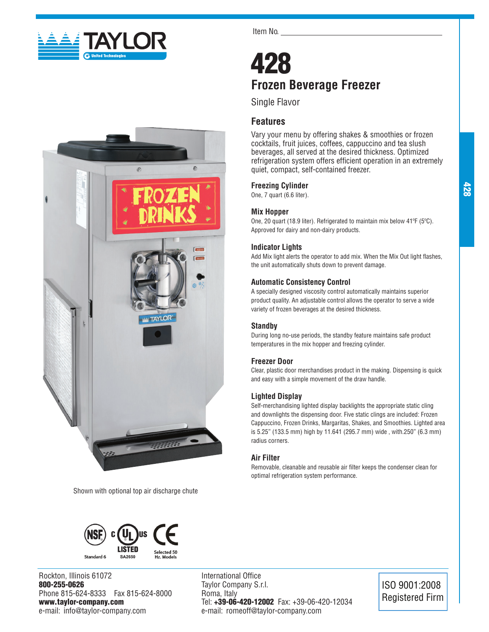



Shown with optional top air discharge chute



Rockton, Illinois 61072 800-255-0626 Phone 815-624-8333 Fax 815-624-8000 www.taylor-company.com e-mail: info@taylor-company.com

Item No.

# 428 **Frozen Beverage Freezer**

Single Flavor

# **Features**

Vary your menu by offering shakes & smoothies or frozen cocktails, fruit juices, coffees, cappuccino and tea slush beverages, all served at the desired thickness. Optimized refrigeration system offers efficient operation in an extremely quiet, compact, self-contained freezer.

# **Freezing Cylinder**

One, 7 quart (6.6 liter).

### **Mix Hopper**

One, 20 quart (18.9 liter). Refrigerated to maintain mix below 41ºF (5ºC). Approved for dairy and non-dairy products.

# **Indicator Lights**

Add Mix light alerts the operator to add mix. When the Mix Out light flashes, the unit automatically shuts down to prevent damage.

### **Automatic Consistency Control**

A specially designed viscosity control automatically maintains superior product quality. An adjustable control allows the operator to serve a wide variety of frozen beverages at the desired thickness.

### **Standby**

During long no-use periods, the standby feature maintains safe product temperatures in the mix hopper and freezing cylinder.

### **Freezer Door**

Clear, plastic door merchandises product in the making. Dispensing is quick and easy with a simple movement of the draw handle.

### **Lighted Display**

Self-merchandising lighted display backlights the appropriate static cling and downlights the dispensing door. Five static clings are included: Frozen Cappuccino, Frozen Drinks, Margaritas, Shakes, and Smoothies. Lighted area is 5.25" (133.5 mm) high by 11.641 (295.7 mm) wide , with.250" (6.3 mm) radius corners.

# **Air Filter**

Removable, cleanable and reusable air filter keeps the condenser clean for optimal refrigeration system performance.



ISO 9001:2008 Registered Firm